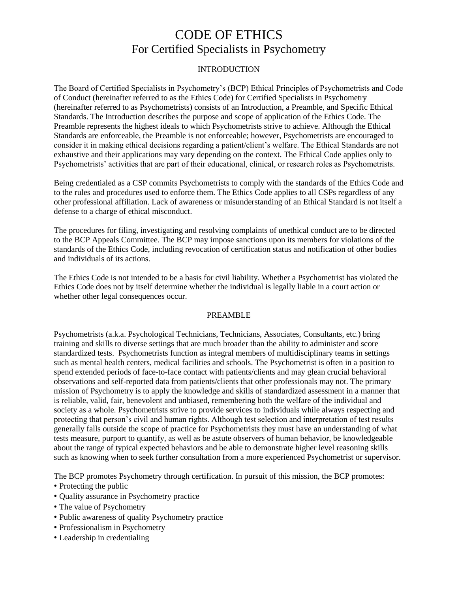### INTRODUCTION

The Board of Certified Specialists in Psychometry's (BCP) Ethical Principles of Psychometrists and Code of Conduct (hereinafter referred to as the Ethics Code) for Certified Specialists in Psychometry (hereinafter referred to as Psychometrists) consists of an Introduction, a Preamble, and Specific Ethical Standards. The Introduction describes the purpose and scope of application of the Ethics Code. The Preamble represents the highest ideals to which Psychometrists strive to achieve. Although the Ethical Standards are enforceable, the Preamble is not enforceable; however, Psychometrists are encouraged to consider it in making ethical decisions regarding a patient/client's welfare. The Ethical Standards are not exhaustive and their applications may vary depending on the context. The Ethical Code applies only to Psychometrists' activities that are part of their educational, clinical, or research roles as Psychometrists.

Being credentialed as a CSP commits Psychometrists to comply with the standards of the Ethics Code and to the rules and procedures used to enforce them. The Ethics Code applies to all CSPs regardless of any other professional affiliation. Lack of awareness or misunderstanding of an Ethical Standard is not itself a defense to a charge of ethical misconduct.

The procedures for filing, investigating and resolving complaints of unethical conduct are to be directed to the BCP Appeals Committee. The BCP may impose sanctions upon its members for violations of the standards of the Ethics Code, including revocation of certification status and notification of other bodies and individuals of its actions.

The Ethics Code is not intended to be a basis for civil liability. Whether a Psychometrist has violated the Ethics Code does not by itself determine whether the individual is legally liable in a court action or whether other legal consequences occur.

#### PREAMBLE

Psychometrists (a.k.a. Psychological Technicians, Technicians, Associates, Consultants, etc.) bring training and skills to diverse settings that are much broader than the ability to administer and score standardized tests. Psychometrists function as integral members of multidisciplinary teams in settings such as mental health centers, medical facilities and schools. The Psychometrist is often in a position to spend extended periods of face-to-face contact with patients/clients and may glean crucial behavioral observations and self-reported data from patients/clients that other professionals may not. The primary mission of Psychometry is to apply the knowledge and skills of standardized assessment in a manner that is reliable, valid, fair, benevolent and unbiased, remembering both the welfare of the individual and society as a whole. Psychometrists strive to provide services to individuals while always respecting and protecting that person's civil and human rights. Although test selection and interpretation of test results generally falls outside the scope of practice for Psychometrists they must have an understanding of what tests measure, purport to quantify, as well as be astute observers of human behavior, be knowledgeable about the range of typical expected behaviors and be able to demonstrate higher level reasoning skills such as knowing when to seek further consultation from a more experienced Psychometrist or supervisor.

The BCP promotes Psychometry through certification. In pursuit of this mission, the BCP promotes:

- Protecting the public
- Quality assurance in Psychometry practice
- The value of Psychometry
- Public awareness of quality Psychometry practice
- Professionalism in Psychometry
- Leadership in credentialing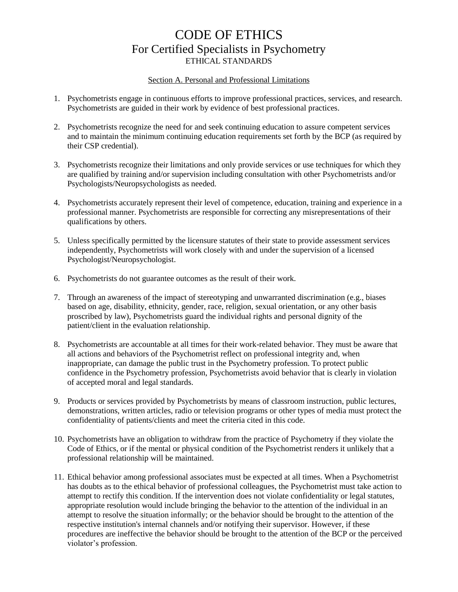## CODE OF ETHICS For Certified Specialists in Psychometry ETHICAL STANDARDS

#### Section A. Personal and Professional Limitations

- 1. Psychometrists engage in continuous efforts to improve professional practices, services, and research. Psychometrists are guided in their work by evidence of best professional practices.
- 2. Psychometrists recognize the need for and seek continuing education to assure competent services and to maintain the minimum continuing education requirements set forth by the BCP (as required by their CSP credential).
- 3. Psychometrists recognize their limitations and only provide services or use techniques for which they are qualified by training and/or supervision including consultation with other Psychometrists and/or Psychologists/Neuropsychologists as needed.
- 4. Psychometrists accurately represent their level of competence, education, training and experience in a professional manner. Psychometrists are responsible for correcting any misrepresentations of their qualifications by others.
- 5. Unless specifically permitted by the licensure statutes of their state to provide assessment services independently, Psychometrists will work closely with and under the supervision of a licensed Psychologist/Neuropsychologist.
- 6. Psychometrists do not guarantee outcomes as the result of their work.
- 7. Through an awareness of the impact of stereotyping and unwarranted discrimination (e.g., biases based on age, disability, ethnicity, gender, race, religion, sexual orientation, or any other basis proscribed by law), Psychometrists guard the individual rights and personal dignity of the patient/client in the evaluation relationship.
- 8. Psychometrists are accountable at all times for their work-related behavior. They must be aware that all actions and behaviors of the Psychometrist reflect on professional integrity and, when inappropriate, can damage the public trust in the Psychometry profession. To protect public confidence in the Psychometry profession, Psychometrists avoid behavior that is clearly in violation of accepted moral and legal standards.
- 9. Products or services provided by Psychometrists by means of classroom instruction, public lectures, demonstrations, written articles, radio or television programs or other types of media must protect the confidentiality of patients/clients and meet the criteria cited in this code.
- 10. Psychometrists have an obligation to withdraw from the practice of Psychometry if they violate the Code of Ethics, or if the mental or physical condition of the Psychometrist renders it unlikely that a professional relationship will be maintained.
- 11. Ethical behavior among professional associates must be expected at all times. When a Psychometrist has doubts as to the ethical behavior of professional colleagues, the Psychometrist must take action to attempt to rectify this condition. If the intervention does not violate confidentiality or legal statutes, appropriate resolution would include bringing the behavior to the attention of the individual in an attempt to resolve the situation informally; or the behavior should be brought to the attention of the respective institution's internal channels and/or notifying their supervisor. However, if these procedures are ineffective the behavior should be brought to the attention of the BCP or the perceived violator's profession.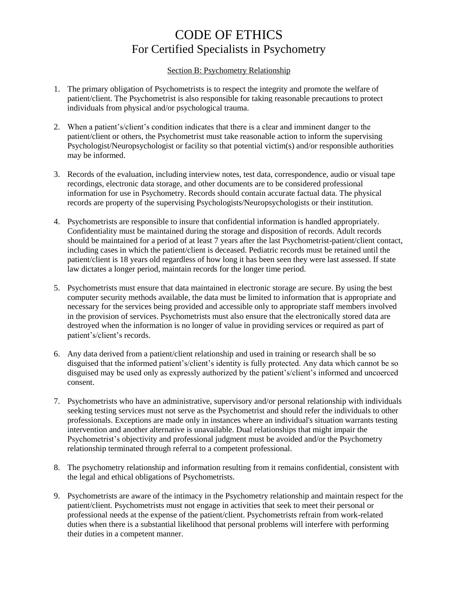### Section B: Psychometry Relationship

- 1. The primary obligation of Psychometrists is to respect the integrity and promote the welfare of patient/client. The Psychometrist is also responsible for taking reasonable precautions to protect individuals from physical and/or psychological trauma.
- 2. When a patient's/client's condition indicates that there is a clear and imminent danger to the patient/client or others, the Psychometrist must take reasonable action to inform the supervising Psychologist/Neuropsychologist or facility so that potential victim(s) and/or responsible authorities may be informed.
- 3. Records of the evaluation, including interview notes, test data, correspondence, audio or visual tape recordings, electronic data storage, and other documents are to be considered professional information for use in Psychometry. Records should contain accurate factual data. The physical records are property of the supervising Psychologists/Neuropsychologists or their institution.
- 4. Psychometrists are responsible to insure that confidential information is handled appropriately. Confidentiality must be maintained during the storage and disposition of records. Adult records should be maintained for a period of at least 7 years after the last Psychometrist-patient/client contact, including cases in which the patient/client is deceased. Pediatric records must be retained until the patient/client is 18 years old regardless of how long it has been seen they were last assessed. If state law dictates a longer period, maintain records for the longer time period.
- 5. Psychometrists must ensure that data maintained in electronic storage are secure. By using the best computer security methods available, the data must be limited to information that is appropriate and necessary for the services being provided and accessible only to appropriate staff members involved in the provision of services. Psychometrists must also ensure that the electronically stored data are destroyed when the information is no longer of value in providing services or required as part of patient's/client's records.
- 6. Any data derived from a patient/client relationship and used in training or research shall be so disguised that the informed patient's/client's identity is fully protected. Any data which cannot be so disguised may be used only as expressly authorized by the patient's/client's informed and uncoerced consent.
- 7. Psychometrists who have an administrative, supervisory and/or personal relationship with individuals seeking testing services must not serve as the Psychometrist and should refer the individuals to other professionals. Exceptions are made only in instances where an individual's situation warrants testing intervention and another alternative is unavailable. Dual relationships that might impair the Psychometrist's objectivity and professional judgment must be avoided and/or the Psychometry relationship terminated through referral to a competent professional.
- 8. The psychometry relationship and information resulting from it remains confidential, consistent with the legal and ethical obligations of Psychometrists.
- 9. Psychometrists are aware of the intimacy in the Psychometry relationship and maintain respect for the patient/client. Psychometrists must not engage in activities that seek to meet their personal or professional needs at the expense of the patient/client. Psychometrists refrain from work-related duties when there is a substantial likelihood that personal problems will interfere with performing their duties in a competent manner.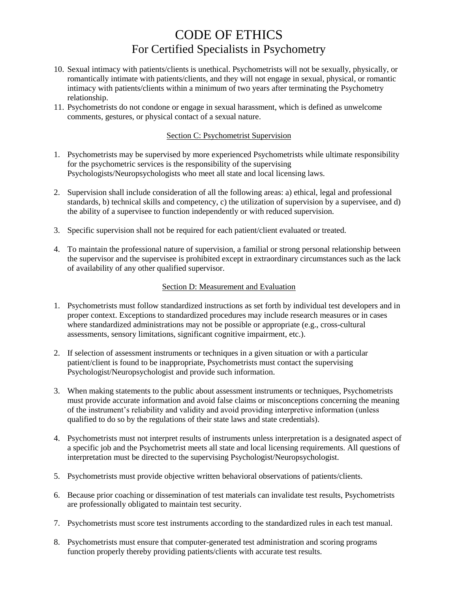- 10. Sexual intimacy with patients/clients is unethical. Psychometrists will not be sexually, physically, or romantically intimate with patients/clients, and they will not engage in sexual, physical, or romantic intimacy with patients/clients within a minimum of two years after terminating the Psychometry relationship.
- 11. Psychometrists do not condone or engage in sexual harassment, which is defined as unwelcome comments, gestures, or physical contact of a sexual nature.

### Section C: Psychometrist Supervision

- 1. Psychometrists may be supervised by more experienced Psychometrists while ultimate responsibility for the psychometric services is the responsibility of the supervising Psychologists/Neuropsychologists who meet all state and local licensing laws.
- 2. Supervision shall include consideration of all the following areas: a) ethical, legal and professional standards, b) technical skills and competency, c) the utilization of supervision by a supervisee, and d) the ability of a supervisee to function independently or with reduced supervision.
- 3. Specific supervision shall not be required for each patient/client evaluated or treated.
- 4. To maintain the professional nature of supervision, a familial or strong personal relationship between the supervisor and the supervisee is prohibited except in extraordinary circumstances such as the lack of availability of any other qualified supervisor.

#### Section D: Measurement and Evaluation

- 1. Psychometrists must follow standardized instructions as set forth by individual test developers and in proper context. Exceptions to standardized procedures may include research measures or in cases where standardized administrations may not be possible or appropriate (e.g., cross-cultural assessments, sensory limitations, significant cognitive impairment, etc.).
- 2. If selection of assessment instruments or techniques in a given situation or with a particular patient/client is found to be inappropriate, Psychometrists must contact the supervising Psychologist/Neuropsychologist and provide such information.
- 3. When making statements to the public about assessment instruments or techniques, Psychometrists must provide accurate information and avoid false claims or misconceptions concerning the meaning of the instrument's reliability and validity and avoid providing interpretive information (unless qualified to do so by the regulations of their state laws and state credentials).
- 4. Psychometrists must not interpret results of instruments unless interpretation is a designated aspect of a specific job and the Psychometrist meets all state and local licensing requirements. All questions of interpretation must be directed to the supervising Psychologist/Neuropsychologist.
- 5. Psychometrists must provide objective written behavioral observations of patients/clients.
- 6. Because prior coaching or dissemination of test materials can invalidate test results, Psychometrists are professionally obligated to maintain test security.
- 7. Psychometrists must score test instruments according to the standardized rules in each test manual.
- 8. Psychometrists must ensure that computer-generated test administration and scoring programs function properly thereby providing patients/clients with accurate test results.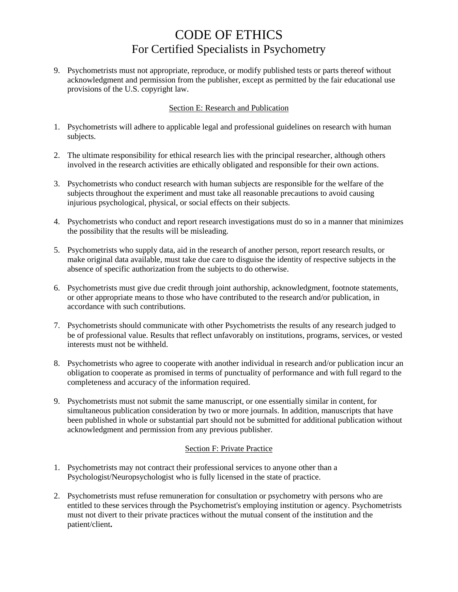9. Psychometrists must not appropriate, reproduce, or modify published tests or parts thereof without acknowledgment and permission from the publisher, except as permitted by the fair educational use provisions of the U.S. copyright law.

### Section E: Research and Publication

- 1. Psychometrists will adhere to applicable legal and professional guidelines on research with human subjects.
- 2. The ultimate responsibility for ethical research lies with the principal researcher, although others involved in the research activities are ethically obligated and responsible for their own actions.
- 3. Psychometrists who conduct research with human subjects are responsible for the welfare of the subjects throughout the experiment and must take all reasonable precautions to avoid causing injurious psychological, physical, or social effects on their subjects.
- 4. Psychometrists who conduct and report research investigations must do so in a manner that minimizes the possibility that the results will be misleading.
- 5. Psychometrists who supply data, aid in the research of another person, report research results, or make original data available, must take due care to disguise the identity of respective subjects in the absence of specific authorization from the subjects to do otherwise.
- 6. Psychometrists must give due credit through joint authorship, acknowledgment, footnote statements, or other appropriate means to those who have contributed to the research and/or publication, in accordance with such contributions.
- 7. Psychometrists should communicate with other Psychometrists the results of any research judged to be of professional value. Results that reflect unfavorably on institutions, programs, services, or vested interests must not be withheld.
- 8. Psychometrists who agree to cooperate with another individual in research and/or publication incur an obligation to cooperate as promised in terms of punctuality of performance and with full regard to the completeness and accuracy of the information required.
- 9. Psychometrists must not submit the same manuscript, or one essentially similar in content, for simultaneous publication consideration by two or more journals. In addition, manuscripts that have been published in whole or substantial part should not be submitted for additional publication without acknowledgment and permission from any previous publisher.

### Section F: Private Practice

- 1. Psychometrists may not contract their professional services to anyone other than a Psychologist/Neuropsychologist who is fully licensed in the state of practice.
- 2. Psychometrists must refuse remuneration for consultation or psychometry with persons who are entitled to these services through the Psychometrist's employing institution or agency. Psychometrists must not divert to their private practices without the mutual consent of the institution and the patient/client**.**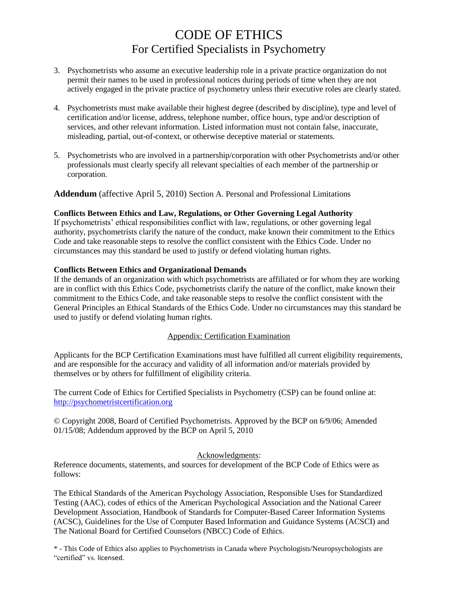- 3. Psychometrists who assume an executive leadership role in a private practice organization do not permit their names to be used in professional notices during periods of time when they are not actively engaged in the private practice of psychometry unless their executive roles are clearly stated.
- 4. Psychometrists must make available their highest degree (described by discipline), type and level of certification and/or license, address, telephone number, office hours, type and/or description of services, and other relevant information. Listed information must not contain false, inaccurate, misleading, partial, out-of-context, or otherwise deceptive material or statements.
- 5. Psychometrists who are involved in a partnership/corporation with other Psychometrists and/or other professionals must clearly specify all relevant specialties of each member of the partnership or corporation.

**Addendum** (affective April 5, 2010) Section A. Personal and Professional Limitations

### **Conflicts Between Ethics and Law, Regulations, or Other Governing Legal Authority**

If psychometrists' ethical responsibilities conflict with law, regulations, or other governing legal authority, psychometrists clarify the nature of the conduct, make known their commitment to the Ethics Code and take reasonable steps to resolve the conflict consistent with the Ethics Code. Under no circumstances may this standard be used to justify or defend violating human rights.

### **Conflicts Between Ethics and Organizational Demands**

If the demands of an organization with which psychometrists are affiliated or for whom they are working are in conflict with this Ethics Code, psychometrists clarify the nature of the conflict, make known their commitment to the Ethics Code, and take reasonable steps to resolve the conflict consistent with the General Principles an Ethical Standards of the Ethics Code. Under no circumstances may this standard be used to justify or defend violating human rights.

#### Appendix: Certification Examination

Applicants for the BCP Certification Examinations must have fulfilled all current eligibility requirements, and are responsible for the accuracy and validity of all information and/or materials provided by themselves or by others for fulfillment of eligibility criteria.

The current Code of Ethics for Certified Specialists in Psychometry (CSP) can be found online at: [http://psychometristcertification.org](http://psychometristcertification.org/)

© Copyright 2008, Board of Certified Psychometrists. Approved by the BCP on 6/9/06; Amended 01/15/08; Addendum approved by the BCP on April 5, 2010

#### Acknowledgments:

Reference documents, statements, and sources for development of the BCP Code of Ethics were as follows:

The Ethical Standards of the American Psychology Association, Responsible Uses for Standardized Testing (AAC), codes of ethics of the American Psychological Association and the National Career Development Association, Handbook of Standards for Computer-Based Career Information Systems (ACSC), Guidelines for the Use of Computer Based Information and Guidance Systems (ACSCI) and The National Board for Certified Counselors (NBCC) Code of Ethics.

\* - This Code of Ethics also applies to Psychometrists in Canada where Psychologists/Neuropsychologists are "certified" vs. licensed.